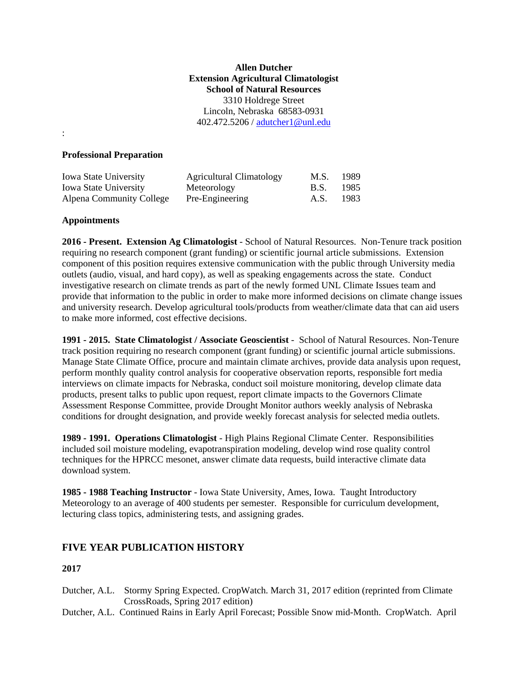## **Allen Dutcher Extension Agricultural Climatologist School of Natural Resources**  3310 Holdrege Street Lincoln, Nebraska 68583-0931 402.472.5206 / adutcher1@unl.edu

### **Professional Preparation**

| <b>Iowa State University</b> | <b>Agricultural Climatology</b> | M.S.        | 1989   |
|------------------------------|---------------------------------|-------------|--------|
| <b>Iowa State University</b> | Meteorology                     | <b>B.S.</b> | 1985   |
| Alpena Community College     | Pre-Engineering                 | A.S.        | - 1983 |

### **Appointments**

:

**2016 - Present. Extension Ag Climatologist** - School of Natural Resources. Non-Tenure track position requiring no research component (grant funding) or scientific journal article submissions. Extension component of this position requires extensive communication with the public through University media outlets (audio, visual, and hard copy), as well as speaking engagements across the state. Conduct investigative research on climate trends as part of the newly formed UNL Climate Issues team and provide that information to the public in order to make more informed decisions on climate change issues and university research. Develop agricultural tools/products from weather/climate data that can aid users to make more informed, cost effective decisions.

**1991 - 2015. State Climatologist / Associate Geoscientist** - School of Natural Resources. Non-Tenure track position requiring no research component (grant funding) or scientific journal article submissions. Manage State Climate Office, procure and maintain climate archives, provide data analysis upon request, perform monthly quality control analysis for cooperative observation reports, responsible fort media interviews on climate impacts for Nebraska, conduct soil moisture monitoring, develop climate data products, present talks to public upon request, report climate impacts to the Governors Climate Assessment Response Committee, provide Drought Monitor authors weekly analysis of Nebraska conditions for drought designation, and provide weekly forecast analysis for selected media outlets.

**1989 - 1991. Operations Climatologist** - High Plains Regional Climate Center. Responsibilities included soil moisture modeling, evapotranspiration modeling, develop wind rose quality control techniques for the HPRCC mesonet, answer climate data requests, build interactive climate data download system.

**1985 - 1988 Teaching Instructor** - Iowa State University, Ames, Iowa. Taught Introductory Meteorology to an average of 400 students per semester. Responsible for curriculum development, lecturing class topics, administering tests, and assigning grades.

# **FIVE YEAR PUBLICATION HISTORY**

- Dutcher, A.L. Stormy Spring Expected. CropWatch. March 31, 2017 edition (reprinted from Climate CrossRoads, Spring 2017 edition)
- Dutcher, A.L. Continued Rains in Early April Forecast; Possible Snow mid-Month. CropWatch. April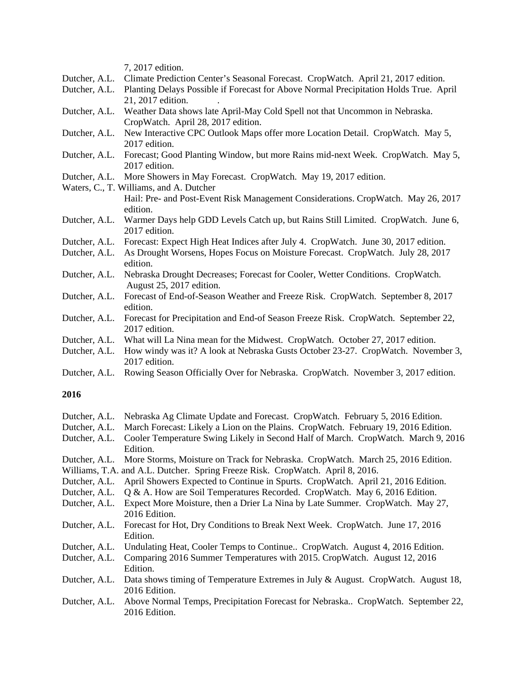|               | 7, 2017 edition.                                                                      |
|---------------|---------------------------------------------------------------------------------------|
| Dutcher, A.L. | Climate Prediction Center's Seasonal Forecast. CropWatch. April 21, 2017 edition.     |
| Dutcher, A.L. | Planting Delays Possible if Forecast for Above Normal Precipitation Holds True. April |
|               | 21, 2017 edition.                                                                     |
| Dutcher, A.L. | Weather Data shows late April-May Cold Spell not that Uncommon in Nebraska.           |
|               | CropWatch. April 28, 2017 edition.                                                    |
| Dutcher, A.L. | New Interactive CPC Outlook Maps offer more Location Detail. CropWatch. May 5,        |
|               | 2017 edition.                                                                         |
| Dutcher, A.L. | Forecast; Good Planting Window, but more Rains mid-next Week. CropWatch. May 5,       |
|               | 2017 edition.                                                                         |
|               | Dutcher, A.L. More Showers in May Forecast. CropWatch. May 19, 2017 edition.          |
|               | Waters, C., T. Williams, and A. Dutcher                                               |
|               | Hail: Pre- and Post-Event Risk Management Considerations. CropWatch. May 26, 2017     |
|               | edition.                                                                              |
| Dutcher, A.L. | Warmer Days help GDD Levels Catch up, but Rains Still Limited. CropWatch. June 6,     |
|               | 2017 edition.                                                                         |
| Dutcher, A.L. | Forecast: Expect High Heat Indices after July 4. CropWatch. June 30, 2017 edition.    |
| Dutcher, A.L. | As Drought Worsens, Hopes Focus on Moisture Forecast. CropWatch. July 28, 2017        |
|               | edition.                                                                              |
| Dutcher, A.L. | Nebraska Drought Decreases; Forecast for Cooler, Wetter Conditions. CropWatch.        |
|               | August 25, 2017 edition.                                                              |
| Dutcher, A.L. | Forecast of End-of-Season Weather and Freeze Risk. CropWatch. September 8, 2017       |
|               | edition.                                                                              |
| Dutcher, A.L. | Forecast for Precipitation and End-of Season Freeze Risk. CropWatch. September 22,    |
|               | 2017 edition.                                                                         |
| Dutcher, A.L. | What will La Nina mean for the Midwest. CropWatch. October 27, 2017 edition.          |
| Dutcher, A.L. | How windy was it? A look at Nebraska Gusts October 23-27. CropWatch. November 3,      |
|               | 2017 edition.                                                                         |

Dutcher, A.L. Rowing Season Officially Over for Nebraska. CropWatch. November 3, 2017 edition.

| Dutcher, A.L. | Nebraska Ag Climate Update and Forecast. CropWatch. February 5, 2016 Edition.            |
|---------------|------------------------------------------------------------------------------------------|
| Dutcher, A.L. | March Forecast: Likely a Lion on the Plains. CropWatch. February 19, 2016 Edition.       |
| Dutcher, A.L. | Cooler Temperature Swing Likely in Second Half of March. CropWatch. March 9, 2016        |
|               | Edition.                                                                                 |
| Dutcher, A.L. | More Storms, Moisture on Track for Nebraska. CropWatch. March 25, 2016 Edition.          |
|               | Williams, T.A. and A.L. Dutcher. Spring Freeze Risk. CropWatch. April 8, 2016.           |
| Dutcher, A.L. | April Showers Expected to Continue in Spurts. CropWatch. April 21, 2016 Edition.         |
|               | Dutcher, A.L. Q & A. How are Soil Temperatures Recorded. CropWatch. May 6, 2016 Edition. |
| Dutcher, A.L. | Expect More Moisture, then a Drier La Nina by Late Summer. CropWatch. May 27,            |
|               | 2016 Edition.                                                                            |
| Dutcher, A.L. | Forecast for Hot, Dry Conditions to Break Next Week. CropWatch. June 17, 2016            |
|               | Edition.                                                                                 |
| Dutcher, A.L. | Undulating Heat, Cooler Temps to Continue CropWatch. August 4, 2016 Edition.             |
| Dutcher, A.L. | Comparing 2016 Summer Temperatures with 2015. CropWatch. August 12, 2016                 |
|               | Edition.                                                                                 |
| Dutcher, A.L. | Data shows timing of Temperature Extremes in July & August. CropWatch. August 18,        |
|               | 2016 Edition.                                                                            |
| Dutcher, A.L. | Above Normal Temps, Precipitation Forecast for Nebraska CropWatch. September 22,         |
|               | 2016 Edition.                                                                            |
|               |                                                                                          |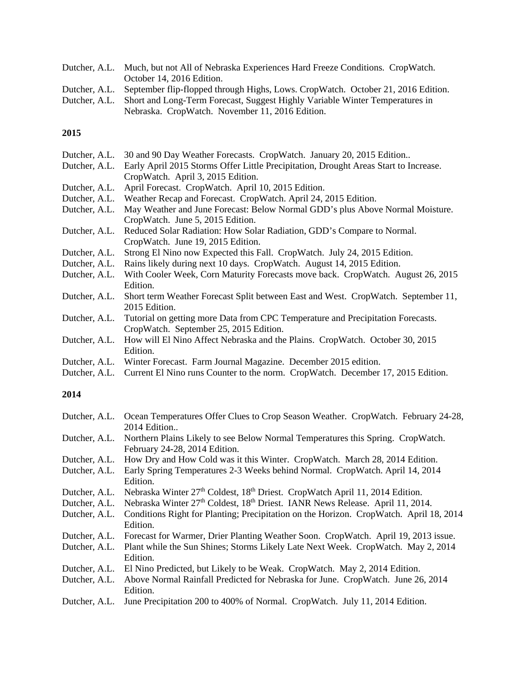| Dutcher, A.L. Much, but not All of Nebraska Experiences Hard Freeze Conditions. CropWatch.     |
|------------------------------------------------------------------------------------------------|
| October 14, 2016 Edition.                                                                      |
| Dutcher, A.L. September flip-flopped through Highs, Lows. CropWatch. October 21, 2016 Edition. |
| Dutcher, A.L. Short and Long-Term Forecast, Suggest Highly Variable Winter Temperatures in     |
| Nebraska. CropWatch. November 11, 2016 Edition.                                                |

| Dutcher, A.L. | 30 and 90 Day Weather Forecasts. CropWatch. January 20, 2015 Edition                 |
|---------------|--------------------------------------------------------------------------------------|
| Dutcher, A.L. | Early April 2015 Storms Offer Little Precipitation, Drought Areas Start to Increase. |
|               | CropWatch. April 3, 2015 Edition.                                                    |
| Dutcher, A.L. | April Forecast. CropWatch. April 10, 2015 Edition.                                   |
| Dutcher, A.L. | Weather Recap and Forecast. CropWatch. April 24, 2015 Edition.                       |
| Dutcher, A.L. | May Weather and June Forecast: Below Normal GDD's plus Above Normal Moisture.        |
|               | CropWatch. June 5, 2015 Edition.                                                     |
| Dutcher, A.L. | Reduced Solar Radiation: How Solar Radiation, GDD's Compare to Normal.               |
|               | CropWatch. June 19, 2015 Edition.                                                    |
| Dutcher, A.L. | Strong El Nino now Expected this Fall. CropWatch. July 24, 2015 Edition.             |
| Dutcher, A.L. | Rains likely during next 10 days. CropWatch. August 14, 2015 Edition.                |
| Dutcher, A.L. | With Cooler Week, Corn Maturity Forecasts move back. CropWatch. August 26, 2015      |
|               | Edition.                                                                             |
| Dutcher, A.L. | Short term Weather Forecast Split between East and West. CropWatch. September 11,    |
|               | 2015 Edition.                                                                        |
| Dutcher, A.L. | Tutorial on getting more Data from CPC Temperature and Precipitation Forecasts.      |
|               | CropWatch. September 25, 2015 Edition.                                               |
| Dutcher, A.L. | How will El Nino Affect Nebraska and the Plains. CropWatch. October 30, 2015         |
|               | Edition.                                                                             |
| Dutcher, A.L. | Winter Forecast. Farm Journal Magazine. December 2015 edition.                       |

Dutcher, A.L. Current El Nino runs Counter to the norm. CropWatch. December 17, 2015 Edition.

| Dutcher, A.L. | Ocean Temperatures Offer Clues to Crop Season Weather. CropWatch. February 24-28,                     |
|---------------|-------------------------------------------------------------------------------------------------------|
|               | 2014 Edition                                                                                          |
| Dutcher, A.L. | Northern Plains Likely to see Below Normal Temperatures this Spring. CropWatch.                       |
|               | February 24-28, 2014 Edition.                                                                         |
| Dutcher, A.L. | How Dry and How Cold was it this Winter. CropWatch. March 28, 2014 Edition.                           |
| Dutcher, A.L. | Early Spring Temperatures 2-3 Weeks behind Normal. CropWatch. April 14, 2014                          |
|               | Edition.                                                                                              |
| Dutcher, A.L. | Nebraska Winter $27th$ Coldest, $18th$ Driest. CropWatch April 11, 2014 Edition.                      |
| Dutcher, A.L. | Nebraska Winter 27 <sup>th</sup> Coldest, 18 <sup>th</sup> Driest. IANR News Release. April 11, 2014. |
| Dutcher, A.L. | Conditions Right for Planting; Precipitation on the Horizon. CropWatch. April 18, 2014                |
|               | Edition.                                                                                              |
| Dutcher, A.L. | Forecast for Warmer, Drier Planting Weather Soon. CropWatch. April 19, 2013 issue.                    |
| Dutcher, A.L. | Plant while the Sun Shines; Storms Likely Late Next Week. CropWatch. May 2, 2014                      |
|               | Edition.                                                                                              |
| Dutcher, A.L. | El Nino Predicted, but Likely to be Weak. CropWatch. May 2, 2014 Edition.                             |
| Dutcher, A.L. | Above Normal Rainfall Predicted for Nebraska for June. CropWatch. June 26, 2014                       |
|               | Edition.                                                                                              |
| Dutcher, A.L. | June Precipitation 200 to 400% of Normal. CropWatch. July 11, 2014 Edition.                           |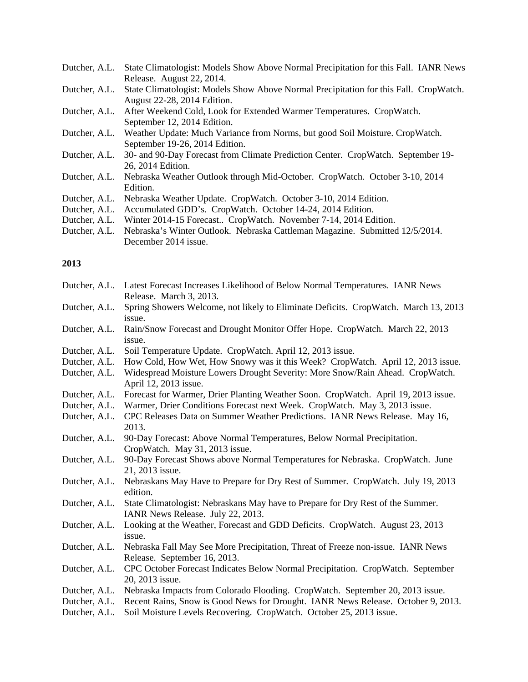| Dutcher, A.L. | State Climatologist: Models Show Above Normal Precipitation for this Fall. IANR News  |
|---------------|---------------------------------------------------------------------------------------|
|               | Release. August 22, 2014.                                                             |
| Dutcher, A.L. | State Climatologist: Models Show Above Normal Precipitation for this Fall. CropWatch. |
|               | August 22-28, 2014 Edition.                                                           |
| Dutcher, A.L. | After Weekend Cold, Look for Extended Warmer Temperatures. CropWatch.                 |
|               | September 12, 2014 Edition.                                                           |
| Dutcher, A.L. | Weather Update: Much Variance from Norms, but good Soil Moisture. CropWatch.          |
|               | September 19-26, 2014 Edition.                                                        |
| Dutcher, A.L. | 30- and 90-Day Forecast from Climate Prediction Center. CropWatch. September 19-      |
|               | 26, 2014 Edition.                                                                     |
| Dutcher, A.L. | Nebraska Weather Outlook through Mid-October. CropWatch. October 3-10, 2014           |
|               | Edition.                                                                              |
| Dutcher, A.L. | Nebraska Weather Update. CropWatch. October 3-10, 2014 Edition.                       |
| Dutcher, A.L. | Accumulated GDD's. CropWatch. October 14-24, 2014 Edition.                            |
| Dutcher, A.L. | Winter 2014-15 Forecast CropWatch. November 7-14, 2014 Edition.                       |

Dutcher, A.L. Nebraska's Winter Outlook. Nebraska Cattleman Magazine. Submitted 12/5/2014. December 2014 issue.

| Dutcher, A.L.                  | Latest Forecast Increases Likelihood of Below Normal Temperatures. IANR News                                                                                      |
|--------------------------------|-------------------------------------------------------------------------------------------------------------------------------------------------------------------|
|                                | Release. March 3, 2013.                                                                                                                                           |
| Dutcher, A.L.                  | Spring Showers Welcome, not likely to Eliminate Deficits. CropWatch. March 13, 2013                                                                               |
|                                | issue.                                                                                                                                                            |
| Dutcher, A.L.                  | Rain/Snow Forecast and Drought Monitor Offer Hope. CropWatch. March 22, 2013                                                                                      |
|                                | issue.                                                                                                                                                            |
| Dutcher, A.L.                  | Soil Temperature Update. CropWatch. April 12, 2013 issue.                                                                                                         |
| Dutcher, A.L.                  | How Cold, How Wet, How Snowy was it this Week? CropWatch. April 12, 2013 issue.                                                                                   |
| Dutcher, A.L.                  | Widespread Moisture Lowers Drought Severity: More Snow/Rain Ahead. CropWatch.<br>April 12, 2013 issue.                                                            |
| Dutcher, A.L.                  | Forecast for Warmer, Drier Planting Weather Soon. CropWatch. April 19, 2013 issue.                                                                                |
| Dutcher, A.L.                  | Warmer, Drier Conditions Forecast next Week. CropWatch. May 3, 2013 issue.                                                                                        |
| Dutcher, A.L.                  | CPC Releases Data on Summer Weather Predictions. IANR News Release. May 16,                                                                                       |
|                                | 2013.                                                                                                                                                             |
| Dutcher, A.L.                  | 90-Day Forecast: Above Normal Temperatures, Below Normal Precipitation.                                                                                           |
|                                | CropWatch. May 31, 2013 issue.                                                                                                                                    |
| Dutcher, A.L.                  | 90-Day Forecast Shows above Normal Temperatures for Nebraska. CropWatch. June                                                                                     |
|                                | 21, 2013 issue.                                                                                                                                                   |
| Dutcher, A.L.                  | Nebraskans May Have to Prepare for Dry Rest of Summer. CropWatch. July 19, 2013                                                                                   |
|                                | edition.                                                                                                                                                          |
| Dutcher, A.L.                  | State Climatologist: Nebraskans May have to Prepare for Dry Rest of the Summer.                                                                                   |
|                                | IANR News Release. July 22, 2013.                                                                                                                                 |
| Dutcher, A.L.                  | Looking at the Weather, Forecast and GDD Deficits. CropWatch. August 23, 2013                                                                                     |
|                                | issue.                                                                                                                                                            |
| Dutcher, A.L.                  | Nebraska Fall May See More Precipitation, Threat of Freeze non-issue. IANR News                                                                                   |
|                                | Release. September 16, 2013.                                                                                                                                      |
| Dutcher, A.L.                  | CPC October Forecast Indicates Below Normal Precipitation. CropWatch. September                                                                                   |
|                                | 20, 2013 issue.                                                                                                                                                   |
| Dutcher, A.L.<br>Dutcher, A.L. | Nebraska Impacts from Colorado Flooding. CropWatch. September 20, 2013 issue.<br>Recent Rains, Snow is Good News for Drought. IANR News Release. October 9, 2013. |
| Dutcher, A.L.                  | Soil Moisture Levels Recovering. CropWatch. October 25, 2013 issue.                                                                                               |
|                                |                                                                                                                                                                   |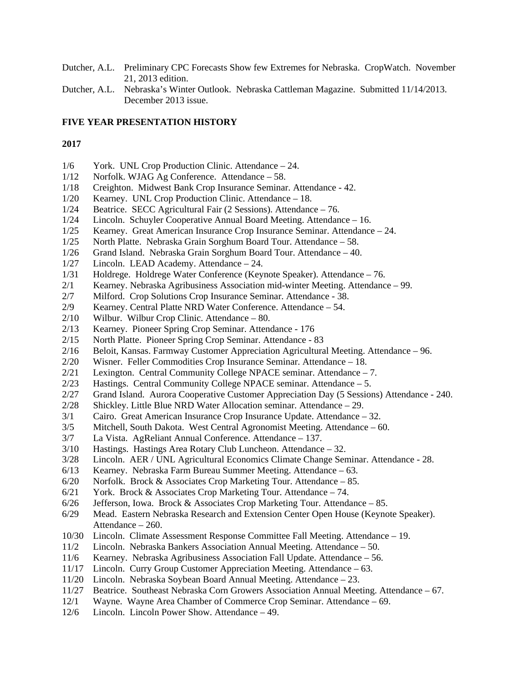- Dutcher, A.L. Preliminary CPC Forecasts Show few Extremes for Nebraska. CropWatch. November 21, 2013 edition.
- Dutcher, A.L. Nebraska's Winter Outlook. Nebraska Cattleman Magazine. Submitted 11/14/2013. December 2013 issue.

### **FIVE YEAR PRESENTATION HISTORY**

- 1/6 York. UNL Crop Production Clinic. Attendance 24.
- 1/12 Norfolk. WJAG Ag Conference. Attendance 58.
- 1/18 Creighton. Midwest Bank Crop Insurance Seminar. Attendance 42.
- 1/20 Kearney. UNL Crop Production Clinic. Attendance 18.
- 1/24 Beatrice. SECC Agricultural Fair (2 Sessions). Attendance 76.
- 1/24 Lincoln. Schuyler Cooperative Annual Board Meeting. Attendance 16.
- 1/25 Kearney. Great American Insurance Crop Insurance Seminar. Attendance 24.
- 1/25 North Platte. Nebraska Grain Sorghum Board Tour. Attendance 58.
- 1/26 Grand Island. Nebraska Grain Sorghum Board Tour. Attendance 40.
- 1/27 Lincoln. LEAD Academy. Attendance 24.
- 1/31 Holdrege. Holdrege Water Conference (Keynote Speaker). Attendance 76.
- 2/1 Kearney. Nebraska Agribusiness Association mid-winter Meeting. Attendance 99.
- 2/7 Milford. Crop Solutions Crop Insurance Seminar. Attendance 38.
- 2/9 Kearney. Central Platte NRD Water Conference. Attendance 54.
- 2/10 Wilbur. Wilbur Crop Clinic. Attendance 80.
- 2/13 Kearney. Pioneer Spring Crop Seminar. Attendance 176
- 2/15 North Platte. Pioneer Spring Crop Seminar. Attendance 83
- 2/16 Beloit, Kansas. Farmway Customer Appreciation Agricultural Meeting. Attendance 96.
- 2/20 Wisner. Feller Commodities Crop Insurance Seminar. Attendance 18.
- 2/21 Lexington. Central Community College NPACE seminar. Attendance 7.
- 2/23 Hastings. Central Community College NPACE seminar. Attendance 5.
- 2/27 Grand Island. Aurora Cooperative Customer Appreciation Day (5 Sessions) Attendance 240.
- 2/28 Shickley. Little Blue NRD Water Allocation seminar. Attendance 29.
- 3/1 Cairo. Great American Insurance Crop Insurance Update. Attendance 32.
- 3/5 Mitchell, South Dakota. West Central Agronomist Meeting. Attendance 60.
- 3/7 La Vista. AgReliant Annual Conference. Attendance 137.
- 3/10 Hastings. Hastings Area Rotary Club Luncheon. Attendance 32.
- 3/28 Lincoln. AER / UNL Agricultural Economics Climate Change Seminar. Attendance 28.
- 6/13 Kearney. Nebraska Farm Bureau Summer Meeting. Attendance 63.
- 6/20 Norfolk. Brock  $&$  Associates Crop Marketing Tour. Attendance 85.
- 6/21 York. Brock & Associates Crop Marketing Tour. Attendance 74.
- $6/26$  Jefferson, Iowa. Brock & Associates Crop Marketing Tour. Attendance 85.
- 6/29 Mead. Eastern Nebraska Research and Extension Center Open House (Keynote Speaker). Attendance – 260.
- 10/30 Lincoln. Climate Assessment Response Committee Fall Meeting. Attendance 19.
- 11/2 Lincoln. Nebraska Bankers Association Annual Meeting. Attendance 50.
- 11/6 Kearney. Nebraska Agribusiness Association Fall Update. Attendance 56.
- 11/17 Lincoln. Curry Group Customer Appreciation Meeting. Attendance 63.
- 11/20 Lincoln. Nebraska Soybean Board Annual Meeting. Attendance 23.
- 11/27 Beatrice. Southeast Nebraska Corn Growers Association Annual Meeting. Attendance 67.
- 12/1 Wayne. Wayne Area Chamber of Commerce Crop Seminar. Attendance 69.
- 12/6 Lincoln. Lincoln Power Show. Attendance 49.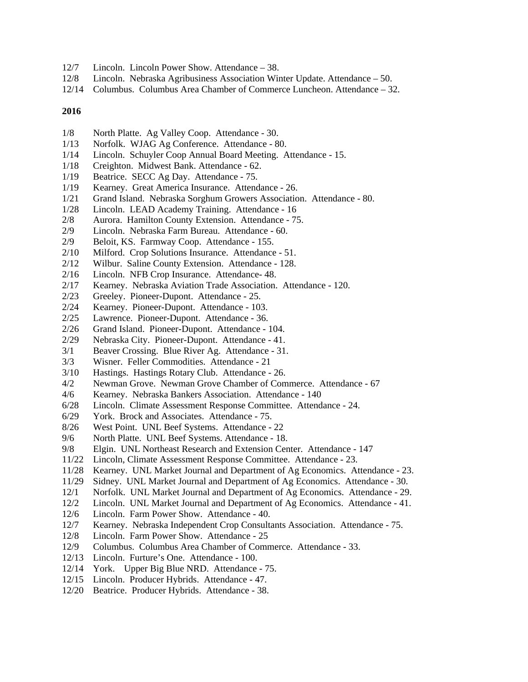- 12/7 Lincoln. Lincoln Power Show. Attendance 38.
- 12/8 Lincoln. Nebraska Agribusiness Association Winter Update. Attendance 50.
- 12/14 Columbus. Columbus Area Chamber of Commerce Luncheon. Attendance 32.

- 1/8 North Platte. Ag Valley Coop. Attendance 30.
- 1/13 Norfolk. WJAG Ag Conference. Attendance 80.
- 1/14 Lincoln. Schuyler Coop Annual Board Meeting. Attendance 15.
- 1/18 Creighton. Midwest Bank. Attendance 62.
- 1/19 Beatrice. SECC Ag Day. Attendance 75.
- 1/19 Kearney. Great America Insurance. Attendance 26.
- 1/21 Grand Island. Nebraska Sorghum Growers Association. Attendance 80.
- 1/28 Lincoln. LEAD Academy Training. Attendance 16
- 2/8 Aurora. Hamilton County Extension. Attendance 75.
- 2/9 Lincoln. Nebraska Farm Bureau. Attendance 60.
- 2/9 Beloit, KS. Farmway Coop. Attendance 155.
- 2/10 Milford. Crop Solutions Insurance. Attendance 51.
- 2/12 Wilbur. Saline County Extension. Attendance 128.
- 2/16 Lincoln. NFB Crop Insurance. Attendance- 48.
- 2/17 Kearney. Nebraska Aviation Trade Association. Attendance 120.
- 2/23 Greeley. Pioneer-Dupont. Attendance 25.
- 2/24 Kearney. Pioneer-Dupont. Attendance 103.
- 2/25 Lawrence. Pioneer-Dupont. Attendance 36.
- 2/26 Grand Island. Pioneer-Dupont. Attendance 104.
- 2/29 Nebraska City. Pioneer-Dupont. Attendance 41.
- 3/1 Beaver Crossing. Blue River Ag. Attendance 31.
- 3/3 Wisner. Feller Commodities. Attendance 21
- 3/10 Hastings. Hastings Rotary Club. Attendance 26.
- 4/2 Newman Grove. Newman Grove Chamber of Commerce. Attendance 67
- 4/6 Kearney. Nebraska Bankers Association. Attendance 140
- 6/28 Lincoln. Climate Assessment Response Committee. Attendance 24.
- 6/29 York. Brock and Associates. Attendance 75.
- 8/26 West Point. UNL Beef Systems. Attendance 22
- 9/6 North Platte. UNL Beef Systems. Attendance 18.
- 9/8 Elgin. UNL Northeast Research and Extension Center. Attendance 147
- 11/22 Lincoln, Climate Assessment Response Committee. Attendance 23.
- 11/28 Kearney. UNL Market Journal and Department of Ag Economics. Attendance 23.
- 11/29 Sidney. UNL Market Journal and Department of Ag Economics. Attendance 30.
- 12/1 Norfolk. UNL Market Journal and Department of Ag Economics. Attendance 29.
- 12/2 Lincoln. UNL Market Journal and Department of Ag Economics. Attendance 41.
- 12/6 Lincoln. Farm Power Show. Attendance 40.
- 12/7 Kearney. Nebraska Independent Crop Consultants Association. Attendance 75.
- 12/8 Lincoln. Farm Power Show. Attendance 25
- 12/9 Columbus. Columbus Area Chamber of Commerce. Attendance 33.
- 12/13 Lincoln. Furture's One. Attendance 100.
- 12/14 York. Upper Big Blue NRD. Attendance 75.
- 12/15 Lincoln. Producer Hybrids. Attendance 47.
- 12/20 Beatrice. Producer Hybrids. Attendance 38.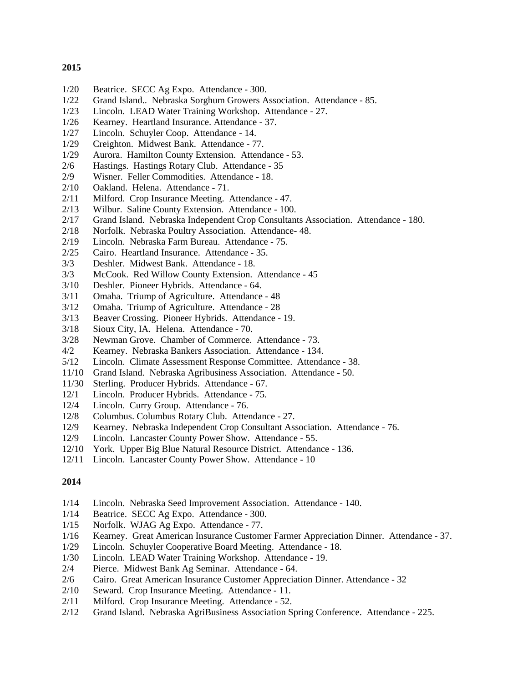- 1/20 Beatrice. SECC Ag Expo. Attendance 300.
- 1/22 Grand Island.. Nebraska Sorghum Growers Association. Attendance 85.
- 1/23 Lincoln. LEAD Water Training Workshop. Attendance 27.
- 1/26 Kearney. Heartland Insurance. Attendance 37.
- 1/27 Lincoln. Schuyler Coop. Attendance 14.
- 1/29 Creighton. Midwest Bank. Attendance 77.
- 1/29 Aurora. Hamilton County Extension. Attendance 53.
- 2/6 Hastings. Hastings Rotary Club. Attendance 35
- 2/9 Wisner. Feller Commodities. Attendance 18.
- 2/10 Oakland. Helena. Attendance 71.
- 2/11 Milford. Crop Insurance Meeting. Attendance 47.
- 2/13 Wilbur. Saline County Extension. Attendance 100.
- 2/17 Grand Island. Nebraska Independent Crop Consultants Association. Attendance 180.
- 2/18 Norfolk. Nebraska Poultry Association. Attendance- 48.
- 2/19 Lincoln. Nebraska Farm Bureau. Attendance 75.
- 2/25 Cairo. Heartland Insurance. Attendance 35.
- 3/3 Deshler. Midwest Bank. Attendance 18.
- 3/3 McCook. Red Willow County Extension. Attendance 45
- 3/10 Deshler. Pioneer Hybrids. Attendance 64.
- 3/11 Omaha. Triump of Agriculture. Attendance 48
- 3/12 Omaha. Triump of Agriculture. Attendance 28
- 3/13 Beaver Crossing. Pioneer Hybrids. Attendance 19.
- 3/18 Sioux City, IA. Helena. Attendance 70.
- 3/28 Newman Grove. Chamber of Commerce. Attendance 73.
- 4/2 Kearney. Nebraska Bankers Association. Attendance 134.
- 5/12 Lincoln. Climate Assessment Response Committee. Attendance 38.
- 11/10 Grand Island. Nebraska Agribusiness Association. Attendance 50.
- 11/30 Sterling. Producer Hybrids. Attendance 67.
- 12/1 Lincoln. Producer Hybrids. Attendance 75.
- 12/4 Lincoln. Curry Group. Attendance 76.
- 12/8 Columbus. Columbus Rotary Club. Attendance 27.<br>12/9 Kearney. Nebraska Independent Crop Consultant Ass
- Kearney. Nebraska Independent Crop Consultant Association. Attendance 76.
- 12/9 Lincoln. Lancaster County Power Show. Attendance 55.
- 12/10 York. Upper Big Blue Natural Resource District. Attendance 136.
- 12/11 Lincoln. Lancaster County Power Show. Attendance 10

- 1/14 Lincoln. Nebraska Seed Improvement Association. Attendance 140.
- 1/14 Beatrice. SECC Ag Expo. Attendance 300.
- 1/15 Norfolk. WJAG Ag Expo. Attendance 77.
- 1/16 Kearney. Great American Insurance Customer Farmer Appreciation Dinner. Attendance 37.
- 1/29 Lincoln. Schuyler Cooperative Board Meeting. Attendance 18.
- 1/30 Lincoln. LEAD Water Training Workshop. Attendance 19.
- 2/4 Pierce. Midwest Bank Ag Seminar. Attendance 64.
- 2/6 Cairo. Great American Insurance Customer Appreciation Dinner. Attendance 32
- 2/10 Seward. Crop Insurance Meeting. Attendance 11.
- 2/11 Milford. Crop Insurance Meeting. Attendance 52.
- 2/12 Grand Island. Nebraska AgriBusiness Association Spring Conference. Attendance 225.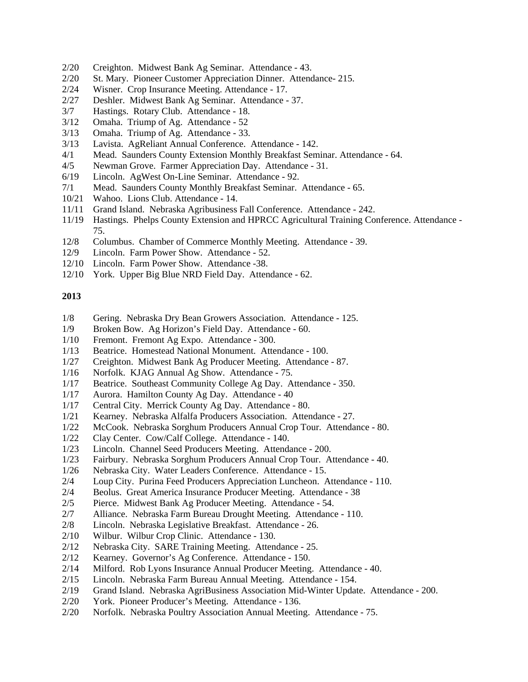- 2/20 Creighton. Midwest Bank Ag Seminar. Attendance 43.
- 2/20 St. Mary. Pioneer Customer Appreciation Dinner. Attendance- 215.
- 2/24 Wisner. Crop Insurance Meeting. Attendance 17.
- 2/27 Deshler. Midwest Bank Ag Seminar. Attendance 37.
- 3/7 Hastings. Rotary Club. Attendance 18.
- 3/12 Omaha. Triump of Ag. Attendance 52
- 3/13 Omaha. Triump of Ag. Attendance 33.
- 3/13 Lavista. AgReliant Annual Conference. Attendance 142.
- 4/1 Mead. Saunders County Extension Monthly Breakfast Seminar. Attendance 64.
- 4/5 Newman Grove. Farmer Appreciation Day. Attendance 31.
- 6/19 Lincoln. AgWest On-Line Seminar. Attendance 92.
- 7/1 Mead. Saunders County Monthly Breakfast Seminar. Attendance 65.
- 10/21 Wahoo. Lions Club. Attendance 14.
- 11/11 Grand Island. Nebraska Agribusiness Fall Conference. Attendance 242.
- 11/19 Hastings. Phelps County Extension and HPRCC Agricultural Training Conference. Attendance 75.
- 12/8 Columbus. Chamber of Commerce Monthly Meeting. Attendance 39.
- 12/9 Lincoln. Farm Power Show. Attendance 52.
- 12/10 Lincoln. Farm Power Show. Attendance -38.
- 12/10 York. Upper Big Blue NRD Field Day. Attendance 62.

- 1/8 Gering. Nebraska Dry Bean Growers Association. Attendance 125.
- 1/9 Broken Bow. Ag Horizon's Field Day. Attendance 60.
- 1/10 Fremont. Fremont Ag Expo. Attendance 300.
- 1/13 Beatrice. Homestead National Monument. Attendance 100.
- 1/27 Creighton. Midwest Bank Ag Producer Meeting. Attendance 87.
- 1/16 Norfolk. KJAG Annual Ag Show. Attendance 75.
- 1/17 Beatrice. Southeast Community College Ag Day. Attendance 350.
- 1/17 Aurora. Hamilton County Ag Day. Attendance 40
- 1/17 Central City. Merrick County Ag Day. Attendance 80.
- 1/21 Kearney. Nebraska Alfalfa Producers Association. Attendance 27.
- 1/22 McCook. Nebraska Sorghum Producers Annual Crop Tour. Attendance 80.
- 1/22 Clay Center. Cow/Calf College. Attendance 140.
- 1/23 Lincoln. Channel Seed Producers Meeting. Attendance 200.
- 1/23 Fairbury. Nebraska Sorghum Producers Annual Crop Tour. Attendance 40.
- 1/26 Nebraska City. Water Leaders Conference. Attendance 15.
- 2/4 Loup City. Purina Feed Producers Appreciation Luncheon. Attendance 110.
- 2/4 Beolus. Great America Insurance Producer Meeting. Attendance 38
- 2/5 Pierce. Midwest Bank Ag Producer Meeting. Attendance 54.
- 2/7 Alliance. Nebraska Farm Bureau Drought Meeting. Attendance 110.
- 2/8 Lincoln. Nebraska Legislative Breakfast. Attendance 26.
- 2/10 Wilbur. Wilbur Crop Clinic. Attendance 130.
- 2/12 Nebraska City. SARE Training Meeting. Attendance 25.
- 2/12 Kearney. Governor's Ag Conference. Attendance 150.
- 2/14 Milford. Rob Lyons Insurance Annual Producer Meeting. Attendance 40.
- 2/15 Lincoln. Nebraska Farm Bureau Annual Meeting. Attendance 154.
- 2/19 Grand Island. Nebraska AgriBusiness Association Mid-Winter Update. Attendance 200.
- 2/20 York. Pioneer Producer's Meeting. Attendance 136.
- 2/20 Norfolk. Nebraska Poultry Association Annual Meeting. Attendance 75.